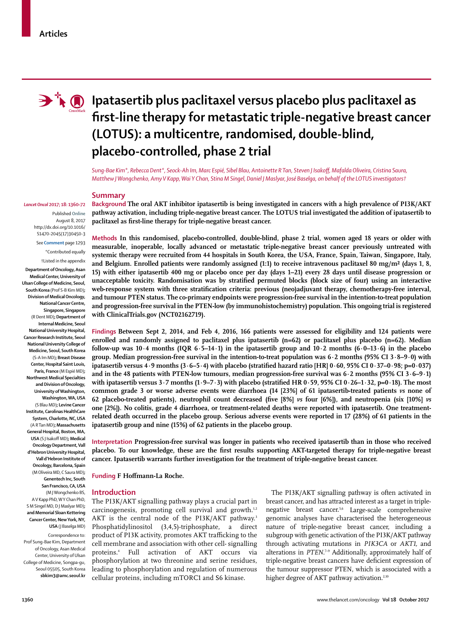

# **I**  $\bullet$  **I** patasertib plus paclitaxel versus placebo plus paclitaxel as **first-line therapy for metastatic triple-negative breast cancer (LOTUS): a multicentre, randomised, double-blind, placebo-controlled, phase 2 trial**

*Sung-Bae Kim\*, Rebecca Dent\*, Seock-Ah Im, Marc Espié, Sibel Blau, Antoinette R Tan, Steven J Isakoff, Mafalda Oliveira, Cristina Saura, Matthew J Wongchenko, Amy V Kapp, Wai Y Chan, Stina M Singel, Daniel J Maslyar, José Baselga, on behalf of the LOTUS investigators†*

#### **Summary**

**Background The oral AKT inhibitor ipatasertib is being investigated in cancers with a high prevalence of PI3K/AKT pathway activation, including triple-negative breast cancer. The LOTUS trial investigated the addition of ipatasertib to paclitaxel as first-line therapy for triple-negative breast cancer.**

**Methods In this randomised, placebo-controlled, double-blind, phase 2 trial, women aged 18 years or older with measurable, inoperable, locally advanced or metastatic triple-negative breast cancer previously untreated with systemic therapy were recruited from 44 hospitals in South Korea, the USA, France, Spain, Taiwan, Singapore, Italy, and Belgium. Enrolled patients were randomly assigned (1:1) to receive intravenous paclitaxel 80 mg/m² (days 1, 8, 15) with either ipatasertib 400 mg or placebo once per day (days 1–21) every 28 days until disease progression or unacceptable toxicity. Randomisation was by stratified permuted blocks (block size of four) using an interactive web-response system with three stratification criteria: previous (neo)adjuvant therapy, chemotherapy-free interval, and tumour PTEN status. The co-primary endpoints were progression-free survival in the intention-to-treat population and progression-free survival in the PTEN-low (by immunohistochemistry) population. This ongoing trial is registered with ClinicalTrials.gov (NCT02162719).**

**Findings Between Sept 2, 2014, and Feb 4, 2016, 166 patients were assessed for eligibility and 124 patients were enrolled and randomly assigned to paclitaxel plus ipatasertib (n=62) or paclitaxel plus placebo (n=62). Median follow-up was 10·4 months (IQR 6·5–14·1) in the ipatasertib group and 10·2 months (6·0–13·6) in the placebo group. Median progression-free survival in the intention-to-treat population was 6·2 months (95% CI 3·8–9·0) with ipatasertib versus 4·9 months (3·6–5·4) with placebo (stratified hazard ratio [HR] 0·60, 95% CI 0·37–0·98; p=0·037) and in the 48 patients with PTEN-low tumours, median progression-free survival was 6·2 months (95% CI 3·6–9·1) with ipatasertib versus 3·7 months (1·9–7·3) with placebo (stratified HR 0·59, 95% CI 0·26–1·32, p=0·18). The most common grade 3 or worse adverse events were diarrhoea (14 [23%] of 61 ipatasertib-treated patients** *vs* **none of 62 placebo-treated patients), neutrophil count decreased (five [8%]** *vs* **four [6%]), and neutropenia (six [10%]** *vs* **one [2%]). No colitis, grade 4 diarrhoea, or treatment-related deaths were reported with ipatasertib. One treatmentrelated death occurred in the placebo group. Serious adverse events were reported in 17 (28%) of 61 patients in the ipatasertib group and nine (15%) of 62 patients in the placebo group.**

**Interpretation Progression-free survival was longer in patients who received ipatasertib than in those who received placebo. To our knowledge, these are the first results supporting AKT-targeted therapy for triple-negative breast cancer. Ipatasertib warrants further investigation for the treatment of triple-negative breast cancer.** 

**Funding F Hoffmann-La Roche.**

# **Introduction**

The PI3K/AKT signalling pathway plays a crucial part in carcinogenesis, promoting cell survival and growth.<sup>1,2</sup> AKT is the central node of the PI3K/AKT pathway.<sup>3</sup> Phosphatidylinositol (3,4,5)-triphosphate, a direct product of PI3K activity, promotes AKT trafficking to the cell membrane and association with other cell- signalling proteins.4 Full activation of AKT occurs via phosphorylation at two threonine and serine residues, leading to phosphorylation and regulation of numerous cellular proteins, including mTORC1 and S6 kinase.

The PI3K/AKT signalling pathway is often activated in breast cancer, and has attracted interest as a target in triplenegative breast cancer.<sup>5,6</sup> Large-scale comprehensive genomic analyses have characterised the heterogeneous nature of triple-negative breast cancer, including a subgroup with genetic activation of the PI3K/AKT pathway through activating mutations in *PIK3CA* or *AKT1,* and alterations in PTEN.<sup>7-9</sup> Additionally, approximately half of triple-negative breast cancers have deficient expression of the tumour suppressor PTEN, which is associated with a higher degree of AKT pathway activation.<sup>2,10</sup>

#### *Lancet Oncol* **2017; 18: 1360–72**

Published **Online** August 8, 2017 http://dx.doi.org/10.1016/ S1470-2045(17)30450-3

> See **Comment** page 1293 \*Contributed equally

> > †Listed in the appendix

**Department of Oncology, Asan Medical Center, University of Ulsan College of Medicine, Seoul, South Korea** (Prof S-B Kim MD)**; Division of Medical Oncology, National Cancer Centre, Singapore, Singapore** (R Dent MD)**; Department of Internal Medicine, Seoul National University Hospital, Cancer Research Institute, Seoul National University College of Medicine, Seoul, South Korea**  (S-A Im MD)**; Breast Disease Center, Hospital Saint Louis, Paris, France** (M Espié MD)**; Northwest Medical Specialties and Division of Oncology, University of Washington, Washington, WA, USA** (S Blau MD)**; Levine Cancer Institute, Carolinas HealthCare System, Charlotte, NC, USA**  (A R Tan MD)**; Massachusetts General Hospital, Boston, MA, USA** (S J Isakoff MD)**; Medical Oncology Department, Vall d'Hebron University Hospital, Vall d'Hebron Institute of Oncology, Barcelona, Spain** (M Oliveira MD, C Saura MD)**; Genentech Inc, South San Francisco, CA, USA** (M J Wongchenko BS, A V Kapp PhD, W Y Chan PhD, S M Singel MD, D J Maslyar MD)**; and Memorial Sloan Kettering Cancer Center, New York, NY, USA** (J Baselga MD)

Correspondence to: Prof Sung-Bae Kim, Department of Oncology, Asan Medical Center, University of Ulsan College of Medicine, Songpa-gu Seoul 05505, South Korea **sbkim3@amc.seoul.kr**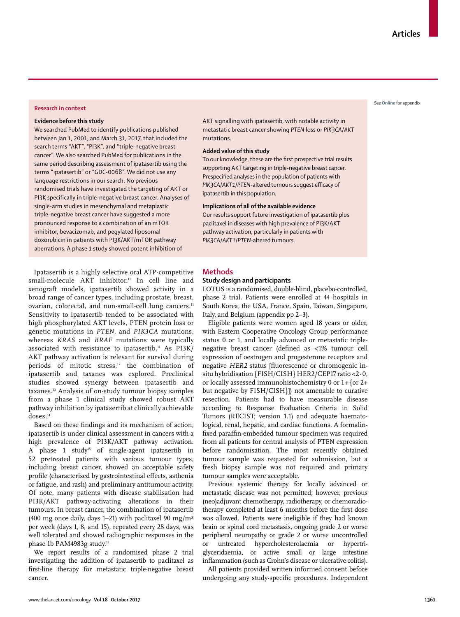#### **Research in context**

#### **Evidence before this study**

We searched PubMed to identify publications published between Jan 1, 2001, and March 31, 2017, that included the search terms "AKT", "PI3K", and "triple-negative breast cancer". We also searched PubMed for publications in the same period describing assessment of ipatasertib using the terms "ipatasertib" or "GDC-0068". We did not use any language restrictions in our search. No previous randomised trials have investigated the targeting of AKT or PI3K specifically in triple-negative breast cancer. Analyses of single-arm studies in mesenchymal and metaplastic triple-negative breast cancer have suggested a more pronounced response to a combination of an mTOR inhibitor, bevacizumab, and pegylated liposomal doxorubicin in patients with PI3K/AKT/mTOR pathway aberrations. A phase 1 study showed potent inhibition of

Ipatasertib is a highly selective oral ATP-competitive small-molecule AKT inhibitor.<sup>11</sup> In cell line and xenograft models, ipatasertib showed activity in a broad range of cancer types, including prostate, breast, ovarian, colorectal, and non-small-cell lung cancers.<sup>11</sup> Sensitivity to ipatasertib tended to be associated with high phosphorylated AKT levels, PTEN protein loss or genetic mutations in *PTEN*, and *PIK3CA* mutations, whereas *KRAS* and *BRAF* mutations were typically associated with resistance to ipatasertib.<sup>11</sup> As  $PI3K/$ AKT pathway activation is relevant for survival during periods of mitotic stress,<sup>12</sup> the combination of ipatasertib and taxanes was explored. Preclinical studies showed synergy between ipatasertib and taxanes.13 Analysis of on-study tumour biopsy samples from a phase 1 clinical study showed robust AKT pathway inhibition by ipatasertib at clinically achievable doses.14

Based on these findings and its mechanism of action, ipatasertib is under clinical assessment in cancers with a high prevalence of PI3K/AKT pathway activation. A phase 1 study15 of single-agent ipatasertib in 52 pretreated patients with various tumour types, including breast cancer, showed an acceptable safety profile (characterised by gastrointestinal effects, asthenia or fatigue, and rash) and preliminary antitumour activity. Of note, many patients with disease stabilisation had PI3K/AKT pathway-activating alterations in their tumours. In breast cancer, the combination of ipatasertib (400 mg once daily, days 1–21) with paclitaxel 90 mg/m<sup>2</sup> per week (days 1, 8, and 15), repeated every 28 days, was well tolerated and showed radiographic responses in the phase 1b PAM4983g study.<sup>13</sup>

We report results of a randomised phase 2 trial investigating the addition of ipatasertib to paclitaxel as first-line therapy for metastatic triple-negative breast cancer.

AKT signalling with ipatasertib, with notable activity in metastatic breast cancer showing *PTEN* loss or *PIK3CA/AKT* mutations.

# **Added value of this study**

To our knowledge, these are the first prospective trial results supporting AKT targeting in triple-negative breast cancer. Prespecified analyses in the population of patients with *PIK3CA/AKT1/PTEN*-altered tumours suggest efficacy of ipatasertib in this population.

# **Implications of all of the available evidence**

Our results support future investigation of ipatasertib plus paclitaxel in diseases with high prevalence of PI3K/AKT pathway activation, particularly in patients with *PIK3CA/AKT1/PTEN-*altered tumours.

# **Methods**

# **Study design and participants**

LOTUS is a randomised, double-blind, placebo-controlled, phase 2 trial. Patients were enrolled at 44 hospitals in South Korea, the USA, France, Spain, Taiwan, Singapore, Italy, and Belgium (appendix pp 2–3).

Eligible patients were women aged 18 years or older, with Eastern Cooperative Oncology Group performance status 0 or 1, and locally advanced or metastatic triplenegative breast cancer (defined as <1% tumour cell expression of oestrogen and progesterone receptors and negative *HER2* status [fluorescence or chromogenic insitu hybridisation {FISH/CISH} HER2/CEP17 ratio <2·0, or locally assessed immunohistochemistry 0 or 1+{or 2+ but negative by FISH/CISH}]) not amenable to curative resection. Patients had to have measurable disease according to Response Evaluation Criteria in Solid Tumors (RECIST; version 1.1) and adequate haematological, renal, hepatic, and cardiac functions. A formalinfixed paraffin-embedded tumour specimen was required from all patients for central analysis of PTEN expression before randomisation. The most recently obtained tumour sample was requested for submission, but a fresh biopsy sample was not required and primary tumour samples were acceptable.

Previous systemic therapy for locally advanced or metastatic disease was not permitted; however, previous (neo)adjuvant chemotherapy, radiotherapy, or chemoradiotherapy completed at least 6 months before the first dose was allowed. Patients were ineligible if they had known brain or spinal cord metastasis, ongoing grade 2 or worse peripheral neuropathy or grade 2 or worse uncontrolled or untreated hypercholesterolaemia or hypertriglyceridaemia, or active small or large intestine inflammation (such as Crohn's disease or ulcerative colitis).

All patients provided written informed consent before undergoing any study-specific procedures. Independent

# See **Online** for appendix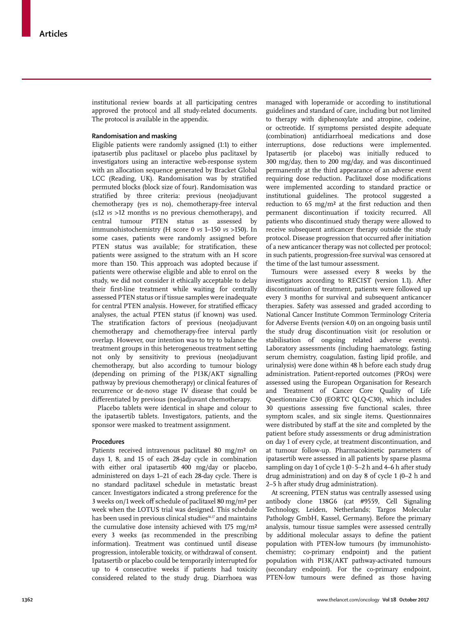institutional review boards at all participating centres approved the protocol and all study-related documents. The protocol is available in the appendix.

## **Randomisation and masking**

Eligible patients were randomly assigned (1:1) to either ipatasertib plus paclitaxel or placebo plus paclitaxel by investigators using an interactive web-response system with an allocation sequence generated by Bracket Global LCC (Reading, UK). Randomisation was by stratified permuted blocks (block size of four). Randomisation was stratified by three criteria: previous (neo)adjuvant chemotherapy (yes *vs* no), chemotherapy-free interval (≤12 *vs* >12 months *vs* no previous chemotherapy), and central tumour PTEN status as assessed by immunohistochemistry (H score 0 *vs* 1–150 *vs* >150). In some cases, patients were randomly assigned before PTEN status was available; for stratification, these patients were assigned to the stratum with an H score more than 150. This approach was adopted because if patients were otherwise eligible and able to enrol on the study, we did not consider it ethically acceptable to delay their first-line treatment while waiting for centrally assessed PTEN status or if tissue samples were inadequate for central PTEN analysis. However, for stratified efficacy analyses, the actual PTEN status (if known) was used. The stratification factors of previous (neo)adjuvant chemotherapy and chemotherapy-free interval partly overlap. However, our intention was to try to balance the treatment groups in this heterogeneous treatment setting not only by sensitivity to previous (neo)adjuvant chemotherapy, but also according to tumour biology (depending on priming of the PI3K/AKT signalling pathway by previous chemotherapy) or clinical features of recurrence or de-novo stage IV disease that could be differentiated by previous (neo)adjuvant chemotherapy.

Placebo tablets were identical in shape and colour to the ipatasertib tablets. Investigators, patients, and the sponsor were masked to treatment assignment.

## **Procedures**

Patients received intravenous paclitaxel 80 mg/m² on days 1, 8, and 15 of each 28-day cycle in combination with either oral ipatasertib 400 mg/day or placebo, administered on days 1–21 of each 28-day cycle. There is no standard paclitaxel schedule in metastatic breast cancer. Investigators indicated a strong preference for the 3 weeks on/1 week off schedule of paclitaxel 80 mg/m² per week when the LOTUS trial was designed. This schedule has been used in previous clinical studies<sup>16,17</sup> and maintains the cumulative dose intensity achieved with 175 mg/m² every 3 weeks (as recommended in the prescribing information). Treatment was continued until disease progression, intolerable toxicity, or withdrawal of consent. Ipatasertib or placebo could be temporarily interrupted for up to 4 consecutive weeks if patients had toxicity considered related to the study drug. Diarrhoea was managed with loperamide or according to institutional guidelines and standard of care, including but not limited to therapy with diphenoxylate and atropine, codeine, or octreotide. If symptoms persisted despite adequate (combination) antidiarrhoeal medications and dose interruptions, dose reductions were implemented. Ipatasertib (or placebo) was initially reduced to 300 mg/day, then to 200 mg/day, and was discontinued permanently at the third appearance of an adverse event requiring dose reduction. Paclitaxel dose modifications were implemented according to standard practice or institutional guidelines. The protocol suggested a reduction to 65 mg/m² at the first reduction and then permanent discontinuation if toxicity recurred. All patients who discontinued study therapy were allowed to receive subsequent anticancer therapy outside the study protocol. Disease progression that occurred after initiation of a new anticancer therapy was not collected per protocol; in such patients, progression-free survival was censored at the time of the last tumour assessment.

Tumours were assessed every 8 weeks by the investigators according to RECIST (version 1.1). After discontinuation of treatment, patients were followed up every 3 months for survival and subsequent anticancer therapies. Safety was assessed and graded according to National Cancer Institute Common Terminology Criteria for Adverse Events (version 4.0) on an ongoing basis until the study drug discontinuation visit (or resolution or stabilisation of ongoing related adverse events). Laboratory assessments (including haematology, fasting serum chemistry, coagulation, fasting lipid profile, and urinalysis) were done within 48 h before each study drug administration. Patient-reported outcomes (PROs) were assessed using the European Organisation for Research and Treatment of Cancer Core Quality of Life Questionnaire C30 (EORTC QLQ-C30), which includes 30 questions assessing five functional scales, three symptom scales, and six single items. Questionnaires were distributed by staff at the site and completed by the patient before study assessments or drug administration on day 1 of every cycle, at treatment discontinuation, and at tumour follow-up. Pharmacokinetic parameters of ipatasertib were assessed in all patients by sparse plasma sampling on day 1 of cycle 1 (0 $\cdot$  5–2 h and 4–6 h after study drug administration) and on day 8 of cycle 1 (0–2 h and 2–5 h after study drug administration).

At screening, PTEN status was centrally assessed using antibody clone 138G6 (cat #9559, Cell Signaling Technology, Leiden, Netherlands; Targos Molecular Pathology GmbH, Kassel, Germany). Before the primary analysis, tumour tissue samples were assessed centrally by additional molecular assays to define the patient population with PTEN-low tumours (by immunohistochemistry; co-primary endpoint) and the patient population with PI3K/AKT pathway-activated tumours (secondary endpoint). For the co-primary endpoint, PTEN-low tumours were defined as those having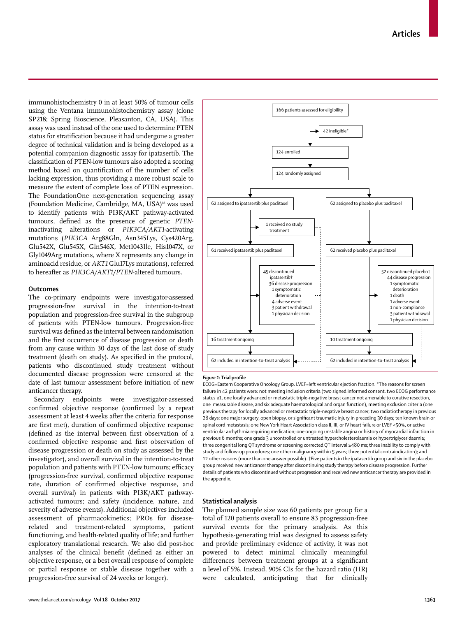immunohistochemistry 0 in at least 50% of tumour cells using the Ventana immunohistochemistry assay (clone SP218; Spring Bioscience, Pleasanton, CA, USA). This assay was used instead of the one used to determine PTEN status for stratification because it had undergone a greater degree of technical validation and is being developed as a potential companion diagnostic assay for ipatasertib. The classification of PTEN-low tumours also adopted a scoring method based on quantification of the number of cells lacking expression, thus providing a more robust scale to measure the extent of complete loss of PTEN expression. The FoundationOne next-generation sequencing assay (Foundation Medicine, Cambridge, MA, USA)<sup>18</sup> was used to identify patients with PI3K/AKT pathway-activated tumours, defined as the presence of genetic *PTEN*inactivating alterations or *PIK3CA/AKT1*-activating mutations (*PIK3CA* Arg88Gln, Asn345Lys, Cys420Arg, Glu542X, Glu545X, Gln546X, Met1043Ile, His1047X, or Gly1049Arg mutations, where X represents any change in aminoacid residue, or *AKT1* Glu17Lys mutations), referred to hereafter as *PIK3CA/AKT1/PTEN*-altered tumours.

# **Outcomes**

The co-primary endpoints were investigator-assessed progression-free survival in the intention-to-treat population and progression-free survival in the subgroup of patients with PTEN-low tumours. Progression-free survival was defined as the interval between randomisation and the first occurrence of disease progression or death from any cause within 30 days of the last dose of study treatment (death on study). As specified in the protocol, patients who discontinued study treatment without documented disease progression were censored at the date of last tumour assessment before initiation of new anticancer therapy.

Secondary endpoints were investigator-assessed confirmed objective response (confirmed by a repeat assessment at least 4 weeks after the criteria for response are first met), duration of confirmed objective response (defined as the interval between first observation of a confirmed objective response and first observation of disease progression or death on study as assessed by the investigator), and overall survival in the intention-to-treat population and patients with PTEN-low tumours; efficacy (progression-free survival, confirmed objective response rate, duration of confirmed objective response, and overall survival) in patients with PI3K/AKT pathwayactivated tumours; and safety (incidence, nature, and severity of adverse events). Additional objectives included assessment of pharmacokinetics; PROs for diseaserelated and treatment-related symptoms, patient functioning, and health-related quality of life; and further exploratory translational research. We also did post-hoc analyses of the clinical benefit (defined as either an objective response, or a best overall response of complete or partial response or stable disease together with a progression-free survival of 24 weeks or longer).



## *Figure 1:* **Trial profile**

ECOG=Eastern Cooperative Oncology Group. LVEF=left ventricular ejection fraction. \*The reasons for screen failure in 42 patients were: not meeting inclusion criteria (two signed informed consent, two ECOG performance status ≤1, one locally advanced or metastatic triple-negative breast cancer not amenable to curative resection, one measurable disease, and six adequate haematological and organ function), meeting exclusion criteria (one previous therapy for locally advanced or metastatic triple-negative breast cancer; two radiatiotherapy in previous 28 days; one major surgery, open biopsy, or significant traumatic injury in preceding 30 days; ten known brain or spinal cord metastasis; one New York Heart Association class II, III, or IV heart failure or LVEF <50%, or active ventricular arrhythmia requiring medication; one ongoing unstable angina or history of myocardial infarction in previous 6 months; one grade 3 uncontrolled or untreated hypercholesterolaemia or hypertriglyceridaemia; three congenital long QT syndrome or screening corrected QT interval ≥480 ms; three inability to comply with study and follow-up procedures; one other malignancy within 5 years; three potential contraindication); and 12 other reasons (more than one answer possible). †Five patientsin the ipatasertib group and six in the placebo group received new anticancer therapy after discontinuing study therapy before disease progression. Further details of patients who discontinued without progression and received new anticancer therapy are provided in the appendix.

## **Statistical analysis**

The planned sample size was 60 patients per group for a total of 120 patients overall to ensure 83 progression-free survival events for the primary analysis. As this hypothesis-generating trial was designed to assess safety and provide preliminary evidence of activity, it was not powered to detect minimal clinically meaningful differences between treatment groups at a significant α level of 5%. Instead, 90% CIs for the hazard ratio (HR) were calculated, anticipating that for clinically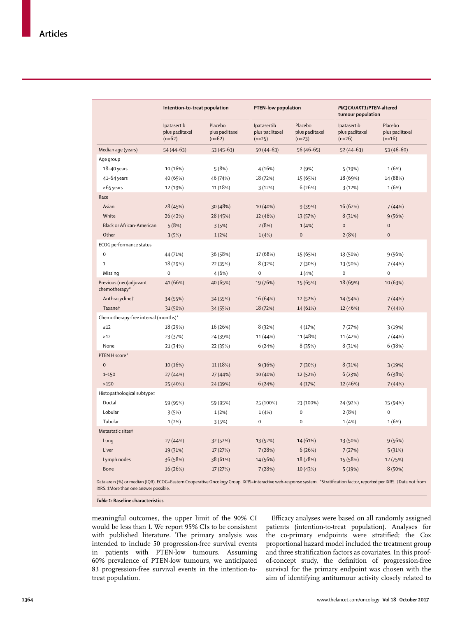|                                         | Intention-to-treat population              |                                        | PTEN-low population                        |                                        | PIK3CA/AKT1/PTEN-altered<br>tumour population |                                        |  |
|-----------------------------------------|--------------------------------------------|----------------------------------------|--------------------------------------------|----------------------------------------|-----------------------------------------------|----------------------------------------|--|
|                                         | Ipatasertib<br>plus paclitaxel<br>$(n=62)$ | Placebo<br>plus paclitaxel<br>$(n=62)$ | Ipatasertib<br>plus paclitaxel<br>$(n=25)$ | Placebo<br>plus paclitaxel<br>$(n=23)$ | Ipatasertib<br>plus paclitaxel<br>$(n=26)$    | Placebo<br>plus paclitaxel<br>$(n=16)$ |  |
| Median age (years)                      | $54(44-63)$                                | $53(45-63)$                            | $50(44-63)$                                | $56(46-65)$                            | $52(44-63)$                                   | $53(46-60)$                            |  |
| Age group                               |                                            |                                        |                                            |                                        |                                               |                                        |  |
| $18 - 40$ years                         | 10 (16%)                                   | 5(8%)                                  | 4(16%)                                     | 2(9%)                                  | 5(19%)                                        | 1(6%)                                  |  |
| 41-64 years                             | 40 (65%)                                   | 46 (74%)                               | 18 (72%)                                   | 15 (65%)                               | 18 (69%)                                      | 14 (88%)                               |  |
| $\ge 65$ years                          | 12 (19%)                                   | 11 (18%)                               | 3(12%)                                     | 6(26%)                                 | 3(12%)                                        | 1(6%)                                  |  |
| Race                                    |                                            |                                        |                                            |                                        |                                               |                                        |  |
| Asian                                   | 28 (45%)                                   | 30 (48%)                               | 10 (40%)                                   | 9 (39%)                                | 16 (62%)                                      | 7(44%)                                 |  |
| White                                   | 26 (42%)                                   | 28 (45%)                               | 12 (48%)                                   | 13 (57%)                               | 8 (31%)                                       | 9(56%)                                 |  |
| <b>Black or African-American</b>        | 5(8%)                                      | 3(5%)                                  | 2(8%)                                      | 1(4% )                                 | $\pmb{0}$                                     | $\mathbf 0$                            |  |
| Other                                   | 3(5%)                                      | 1(2%)                                  | 1(4% )                                     | $\mathbf 0$                            | 2(8%)                                         | $\mathbf{0}$                           |  |
| ECOG performance status                 |                                            |                                        |                                            |                                        |                                               |                                        |  |
| $\mathbf 0$                             | 44 (71%)                                   | 36 (58%)                               | 17 (68%)                                   | 15 (65%)                               | 13 (50%)                                      | 9(56%)                                 |  |
| $\mathbf{1}$                            | 18 (29%)                                   | 22 (35%)                               | 8(32%)                                     | 7 (30%)                                | 13 (50%)                                      | 7(44%)                                 |  |
| Missing                                 | $\mathbf 0$                                | 4(6%)                                  | $\mathbf 0$                                | 1(4%                                   | $\mathbf 0$                                   | $\mathbf 0$                            |  |
| Previous (neo)adjuvant<br>chemotherapy* | 41 (66%)                                   | 40 (65%)                               | 19 (76%)                                   | 15 (65%)                               | 18 (69%)                                      | 10 (63%)                               |  |
| Anthracyclinet                          | 34 (55%)                                   | 34 (55%)                               | 16 (64%)                                   | 12 (52%)                               | 14 (54%)                                      | 7(44%)                                 |  |
| Taxane†                                 | 31 (50%)                                   | 34 (55%)                               | 18 (72%)                                   | 14 (61%)                               | 12 (46%)                                      | 7(44%)                                 |  |
| Chemotherapy-free interval (months)*    |                                            |                                        |                                            |                                        |                                               |                                        |  |
| $\leq 12$                               | 18 (29%)                                   | 16 (26%)                               | 8(32%)                                     | 4 (17%)                                | 7(27%)                                        | 3(19%)                                 |  |
| $>12$                                   | 23 (37%)                                   | 24 (39%)                               | 11 (44%)                                   | 11 (48%)                               | 11 (42%)                                      | 7(44%)                                 |  |
| None                                    | 21 (34%)                                   | 22 (35%)                               | 6(24%)                                     | 8(35%)                                 | 8(31%)                                        | 6(38%)                                 |  |
| PTEN H score*                           |                                            |                                        |                                            |                                        |                                               |                                        |  |
| $\overline{0}$                          | 10 (16%)                                   | 11 (18%)                               | 9(36%)                                     | 7 (30%)                                | 8 (31%)                                       | 3(19%)                                 |  |
| $1 - 150$                               | 27 (44%)                                   | 27 (44%)                               | 10 (40%)                                   | 12 (52%)                               | 6(23%)                                        | 6(38%)                                 |  |
| >150                                    | 25 (40%)                                   | 24 (39%)                               | 6(24%)                                     | 4(17%)                                 | 12 (46%)                                      | 7(44%)                                 |  |
| Histopathological subtype‡              |                                            |                                        |                                            |                                        |                                               |                                        |  |
| Ductal                                  | 59 (95%)                                   | 59 (95%)                               | 25 (100%)                                  | 23 (100%)                              | 24 (92%)                                      | 15 (94%)                               |  |
| Lobular                                 | 3(5%)                                      | 1(2%)                                  | 1(4%                                       | $\pmb{0}$                              | 2(8%)                                         | $\bf 0$                                |  |
| Tubular                                 | 1(2%)                                      | 3(5%)                                  | $\mathbf 0$                                | $\mathbf 0$                            | 1(4%)                                         | 1(6%)                                  |  |
| Metastatic sites‡                       |                                            |                                        |                                            |                                        |                                               |                                        |  |
| Lung                                    | 27 (44%)                                   | 32 (52%)                               | 13 (52%)                                   | 14 (61%)                               | 13 (50%)                                      | 9(56%)                                 |  |
| Liver                                   | 19 (31%)                                   | 17 (27%)                               | 7(28%)                                     | 6(26%)                                 | 7(27%)                                        | 5(31%)                                 |  |
| Lymph nodes                             | 36 (58%)                                   | 38 (61%)                               | 14 (56%)                                   | 18 (78%)                               | 15 (58%)                                      | 12 (75%)                               |  |
| Bone                                    | 16 (26%)                                   | 17 (27%)                               | 7(28%)                                     | 10 (43%)                               | 5 (19%)                                       | 8(50%)                                 |  |

*Table 1:* **Baseline characteristics**

meaningful outcomes, the upper limit of the 90% CI would be less than 1. We report 95% CIs to be consistent with published literature. The primary analysis was intended to include 50 progression-free survival events in patients with PTEN-low tumours. Assuming 60% prevalence of PTEN-low tumours, we anticipated 83 progression-free survival events in the intention-totreat population.

Efficacy analyses were based on all randomly assigned patients (intention-to-treat population). Analyses for the co-primary endpoints were stratified; the Cox proportional hazard model included the treatment group and three stratification factors as covariates. In this proofof-concept study, the definition of progression-free survival for the primary endpoint was chosen with the aim of identifying antitumour activity closely related to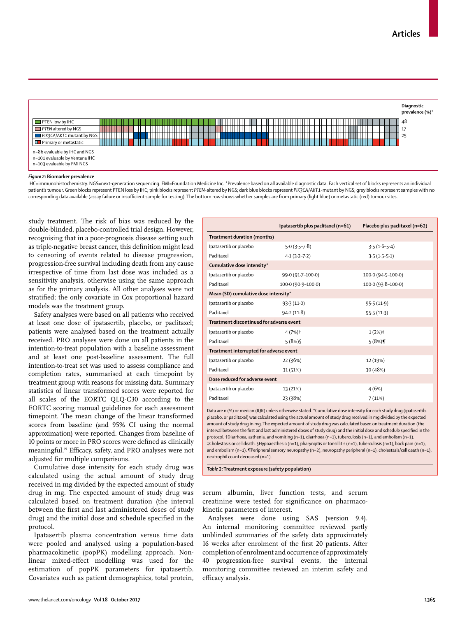

#### *Figure 2:* **Biomarker prevalence**

IHC=immunohistochemistry. NGS*=*next-generation sequencing. FMI=Foundation Medicine Inc. \*Prevalence based on all available diagnostic data. Each vertical set of blocks represents an individual patient's tumour. Green blocks represent PTEN loss by IHC; pink blocks represent *PTEN*-altered by NGS; dark blue blocks represent *PIK3CA/AKT1*-mutant by NGS; grey blocks represent samples with no corresponding data available (assay failure or insufficient sample for testing). The bottom row shows whether samples are from primary (light blue) or metastatic (red) tumour sites.

study treatment. The risk of bias was reduced by the double-blinded, placebo-controlled trial design. However, recognising that in a poor-prognosis disease setting such as triple-negative breast cancer, this definition might lead to censoring of events related to disease progression, progression-free survival including death from any cause irrespective of time from last dose was included as a sensitivity analysis, otherwise using the same approach as for the primary analysis. All other analyses were not stratified; the only covariate in Cox proportional hazard models was the treatment group.

Safety analyses were based on all patients who received at least one dose of ipatasertib, placebo, or paclitaxel; patients were analysed based on the treatment actually received. PRO analyses were done on all patients in the intention-to-treat population with a baseline assessment and at least one post-baseline assessment. The full intention-to-treat set was used to assess compliance and completion rates, summarised at each timepoint by treatment group with reasons for missing data. Summary statistics of linear transformed scores were reported for all scales of the EORTC QLQ-C30 according to the EORTC scoring manual guidelines for each assessment timepoint. The mean change of the linear transformed scores from baseline (and 95% CI using the normal approximation) were reported. Changes from baseline of 10 points or more in PRO scores were defined as clinically meaningful.19 Efficacy, safety, and PRO analyses were not adjusted for multiple comparisons.

Cumulative dose intensity for each study drug was calculated using the actual amount of study drug received in mg divided by the expected amount of study drug in mg. The expected amount of study drug was calculated based on treatment duration (the interval between the first and last administered doses of study drug) and the initial dose and schedule specified in the protocol.

Ipatasertib plasma concentration versus time data were pooled and analysed using a population-based pharmacokinetic (popPK) modelling approach. Nonlinear mixed-effect modelling was used for the estimation of popPK parameters for ipatasertib. Covariates such as patient demographics, total protein,

|                                          | Ipatasertib plus paclitaxel (n=61) | Placebo plus paclitaxel (n=62) |  |  |  |  |
|------------------------------------------|------------------------------------|--------------------------------|--|--|--|--|
| Treatment duration (months)              |                                    |                                |  |  |  |  |
| Ipatasertib or placebo                   | $5.0(3.5-7.8)$                     | $3.5(1.6-5.4)$                 |  |  |  |  |
| Paclitaxel                               | $4.1(3.2 - 7.2)$                   | $3.5(1.5-5.1)$                 |  |  |  |  |
| Cumulative dose intensity*               |                                    |                                |  |  |  |  |
| Ipatasertib or placebo                   | 99.0 (91.7-100.0)                  | 100.0 (94.5-100.0)             |  |  |  |  |
| Paclitaxel                               | 100.0 (90.9-100.0)                 | 100.0 (93.8-100.0)             |  |  |  |  |
| Mean (SD) cumulative dose intensity*     |                                    |                                |  |  |  |  |
| Ipatasertib or placebo                   | 93.3(11.0)                         | 95.5(11.9)                     |  |  |  |  |
| Paclitaxel                               | 94.2(11.8)                         | 95.5(11.3)                     |  |  |  |  |
| Treatment discontinued for adverse event |                                    |                                |  |  |  |  |
| Ipatasertib or placebo                   | 4 (7%)†                            | $1(2%)\ddagger$                |  |  |  |  |
| Paclitaxel                               | 5(8%)                              | $5(8%)$ ¶                      |  |  |  |  |
| Treatment interrupted for adverse event  |                                    |                                |  |  |  |  |
| Ipatasertib or placebo                   | 22 (36%)                           | 12 (19%)                       |  |  |  |  |
| Paclitaxel                               | 31 (51%)                           | 30 (48%)                       |  |  |  |  |
| Dose reduced for adverse event           |                                    |                                |  |  |  |  |
| Ipatasertib or placebo                   | 13 (21%)                           | 4(6%)                          |  |  |  |  |
| Paclitaxel                               | 23 (38%)                           | 7(11%)                         |  |  |  |  |
|                                          |                                    |                                |  |  |  |  |

Data are n (%) or median (IQR) unless otherwise stated. \*Cumulative dose intensity for each study drug (ipatasertib, placebo, or paclitaxel) was calculated using the actual amount of study drug received in mg divided by the expected amount of study drug in mg. The expected amount of study drug was calculated based on treatment duration (the interval between the first and last administered doses of study drug) and the initial dose and schedule specified in the protocol. †Diarrhoea, asthenia, and vomiting (n=1), diarrhoea (n=1), tuberculosis (n=1), and embolism (n=1). ‡Cholestasis or cell death. §Hypoaesthesia (n=1), pharyngitis or tonsillitis (n=1), tuberculosis (n=1), back pain (n=1), and embolism (n=1). ¶Peripheral sensory neuropathy (n=2), neuropathy peripheral (n=1), cholestasis/cell death (n=1), neutrophil count decreased (n=1).

*Table 2:* **Treatment exposure (safety population)**

serum albumin, liver function tests, and serum creatinine were tested for significance on pharmacokinetic parameters of interest.

Analyses were done using SAS (version 9.4). An internal monitoring committee reviewed partly unblinded summaries of the safety data approximately 16 weeks after enrolment of the first 20 patients. After completion of enrolment and occurrence of approximately 40 progression-free survival events, the internal monitoring committee reviewed an interim safety and efficacy analysis.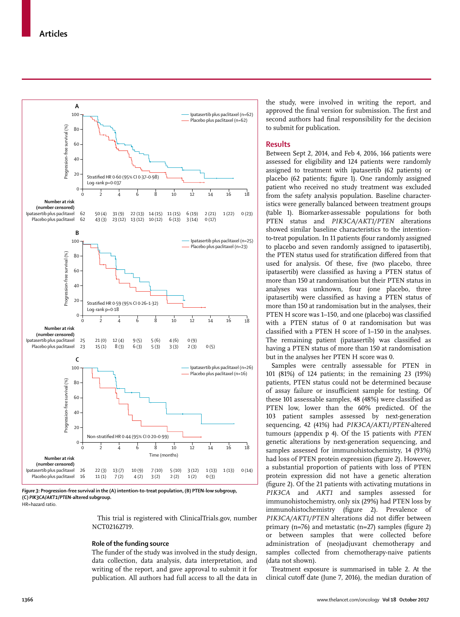

*Figure 3:* **Progression-free survival in the (A) intention-to-treat population, (B) PTEN-low subgroup, (C)** *PIK3CA/AKT1/PTEN***-altered subgroup.** HR=hazard ratio.

This trial is registered with ClinicalTrials.gov, number NCT02162719.

# **Role of the funding source**

The funder of the study was involved in the study design, data collection, data analysis, data interpretation, and writing of the report, and gave approval to submit it for publication. All authors had full access to all the data in

the study, were involved in writing the report, and approved the final version for submission. The first and second authors had final responsibility for the decision to submit for publication.

# **Results**

Between Sept 2, 2014, and Feb 4, 2016, 166 patients were assessed for eligibility and 124 patients were randomly assigned to treatment with ipatasertib (62 patients) or placebo (62 patients; figure 1). One randomly assigned patient who received no study treatment was excluded from the safety analysis population. Baseline characteristics were generally balanced between treatment groups (table 1). Biomarker-assessable populations for both PTEN status and *PIK3CA/AKT1/PTEN* alterations showed similar baseline characteristics to the intentionto-treat population. In 11 patients (four randomly assigned to placebo and seven randomly assigned to ipatasertib), the PTEN status used for stratification differed from that used for analysis. Of these, five (two placebo, three ipatasertib) were classified as having a PTEN status of more than 150 at randomisation but their PTEN status in analyses was unknown, four (one placebo, three ipatasertib) were classified as having a PTEN status of more than 150 at randomisation but in the analyses, their PTEN H score was 1–150, and one (placebo) was classified with a PTEN status of 0 at randomisation but was classified with a PTEN H score of 1–150 in the analyses. The remaining patient (ipatasertib) was classified as having a PTEN status of more than 150 at randomisation but in the analyses her PTEN H score was 0.

Samples were centrally assessable for PTEN in 101 (81%) of 124 patients; in the remaining 23 (19%) patients, PTEN status could not be determined because of assay failure or insufficient sample for testing. Of these 101 assessable samples, 48 (48%) were classified as PTEN low, lower than the 60% predicted. Of the 103 patient samples assessed by next-generation sequencing, 42 (41%) had *PIK3CA/AKT1/PTEN*-altered tumours (appendix p 4). Of the 15 patients with *PTEN* genetic alterations by next-generation sequencing, and samples assessed for immunohistochemistry, 14 (93%) had loss of PTEN protein expression (figure 2). However, a substantial proportion of patients with loss of PTEN protein expression did not have a genetic alteration (figure 2). Of the 21 patients with activating mutations in *PIK3CA* and *AKT1* and samples assessed for immunohistochemistry, only six (29%) had PTEN loss by immunohistochemistry (figure 2). Prevalence of *PIK3CA/AKT1/PTEN* alterations did not differ between primary  $(n=76)$  and metastatic  $(n=27)$  samples (figure 2) or between samples that were collected before administration of (neo)adjuvant chemotherapy and samples collected from chemotherapy-naive patients (data not shown).

Treatment exposure is summarised in table 2. At the clinical cutoff date (June 7, 2016), the median duration of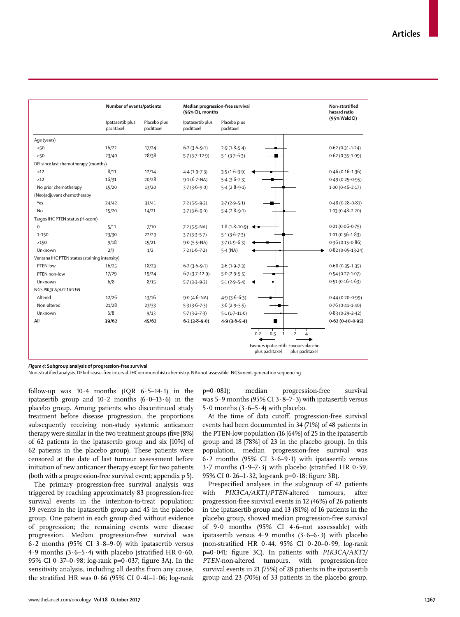|                                              | Number of events/patients      |                            | Median progression-free survival<br>(95% CI), months |                               |                                                                           | Non-stratified<br>hazard ratio |
|----------------------------------------------|--------------------------------|----------------------------|------------------------------------------------------|-------------------------------|---------------------------------------------------------------------------|--------------------------------|
|                                              | Ipatasertib plus<br>paclitaxel | Placebo plus<br>paclitaxel | Ipatasertib plus<br>paclitaxel                       | Placebo plus<br>paclitaxel    |                                                                           | (95% Wald CI)                  |
| Age (years)                                  |                                |                            |                                                      |                               |                                                                           |                                |
| 50                                           | 16/22                          | 17/24                      | $6.2(3.6-9.1)$                                       | $2.9(1.8-5.4)$                |                                                                           | $0.62(0.31 - 1.24)$            |
| $\geq 50$                                    | 23/40                          | 28/38                      | $5.7(3.7-12.9)$                                      | $5.1(3.7-6.3)$                |                                                                           | $0.62(0.35 - 1.09)$            |
| DFI since last chemotherapy (months)         |                                |                            |                                                      |                               |                                                                           |                                |
| $\leq 12$                                    | 8/11                           | 12/14                      | $4.4(1.9-7.3)$                                       | $3.5(1.6-3.9)$                |                                                                           | $0.46(0.16 - 1.36)$            |
| $>12$                                        | 16/31                          | 20/28                      | $9.1(6.7-NA)$                                        | $5.4(3.6-7.3)$                |                                                                           | $0.49(0.25 - 0.95)$            |
| No prior chemotherapy                        | 15/20                          | 13/20                      | $3.7(3.6-9.0)$                                       | $5.4(2.8-9.1)$                |                                                                           | $1.00(0.46 - 2.17)$            |
| (Neo)adjuvant chemotherapy                   |                                |                            |                                                      |                               |                                                                           |                                |
| Yes                                          | 24/42                          | 31/41                      | $7.2(5.5-9.3)$                                       | $3.7(2.9-5.1)$                |                                                                           | $0.48(0.28 - 0.81)$            |
| No                                           | 15/20                          | 14/21                      | $3.7(3.6-9.0)$                                       | $5.4(2.8-9.1)$                |                                                                           | $1.03(0.48 - 2.20)$            |
| Targos IHC PTEN status (H-score)             |                                |                            |                                                      |                               |                                                                           |                                |
| $\Omega$                                     | 5/11                           | 7/10                       | $7.2$ (5.5-NA)                                       | $1.8(1.8-10.9)$ $\rightarrow$ |                                                                           | $0.21(0.06 - 0.75)$            |
| $1 - 150$                                    | 23/30                          | 22/29                      | $3.7(3.3 - 5.7)$                                     | $5.1(3.6 - 7.3)$              |                                                                           | $1.01(0.56 - 1.83)$            |
| >150                                         | 9/18                           | 15/21                      | $9.0$ (5.5-NA)                                       | $3.7(1.9-6.3)$                |                                                                           | $0.36(0.15 - 0.86)$            |
| Unknown                                      | 2/3                            | 1/2                        | $7.2(1.6-7.2)$                                       | $5.4$ (NA)                    |                                                                           | $0.82(0.05 - 13.24)$           |
| Ventana IHC PTEN status (staining intensity) |                                |                            |                                                      |                               |                                                                           |                                |
| PTEN low                                     | 16/25                          | 18/23                      | $6.2(3.6-9.1)$                                       | $3.6(1.9-7.3)$                |                                                                           | $0.68(0.35 - 1.35)$            |
| PTFN non-low                                 | 17/29                          | 19/24                      | $6.7(3.7-12.9)$                                      | $5.0(2.9-5.5)$                |                                                                           | $0.54(0.27 - 1.07)$            |
| Unknown                                      | 6/8                            | 8/15                       | $5.7(3.3-9.3)$                                       | $5.1(2.9-5.4)$                |                                                                           | $0.51(0.16 - 1.63)$            |
| NGS PIK3CA/AKT1/PTEN                         |                                |                            |                                                      |                               |                                                                           |                                |
| Altered                                      | 12/26                          | 13/16                      | $9.0(4.6-NA)$                                        | $4.9(3.6-6.3)$                |                                                                           | $0.44(0.20 - 0.99)$            |
| Non-altered                                  | 21/28                          | 23/33                      | $5.3(3.6-7.3)$                                       | $3.6(2.9-5.5)$                |                                                                           | $0.76(0.41 - 1.40)$            |
| Unknown                                      | 6/8                            | 9/13                       | $5.7(3.2 - 7.3)$                                     | $5.1(1.7-11.0)$               |                                                                           | $0.83(0.29 - 2.42)$            |
| All                                          | 39/62                          | 45/62                      | $6.2(3.8-9.0)$                                       | $4.9(3.6-5.4)$                |                                                                           | $0.62(0.40 - 0.95)$            |
|                                              |                                |                            |                                                      |                               | 0.2<br>0.5<br>$\mathbf{1}$<br>$\overline{2}$<br>Δ                         |                                |
|                                              |                                |                            |                                                      |                               | Favours ipatasertib Favours placebo<br>plus paclitaxel<br>plus paclitaxel |                                |

*Figure 4:* **Subgroup analysis of progression-free survival**

Non-stratified analysis. DFI=disease-free interval. IHC=immunohistochemistry. NA=not assessible. NGS=next-generation sequencing.

follow-up was 10·4 months (IQR 6·5–14·1) in the ipatasertib group and  $10.2$  months  $(6.0-13.6)$  in the placebo group. Among patients who discontinued study treatment before disease progression, the proportions subsequently receiving non-study systemic anticancer therapy were similar in the two treatment groups (five [8%] of 62 patients in the ipatasertib group and six [10%] of 62 patients in the placebo group). These patients were censored at the date of last tumour assessment before initiation of new anticancer therapy except for two patients (both with a progression-free survival event; appendix p 5).

The primary progression-free survival analysis was triggered by reaching approximately 83 progression-free survival events in the intention-to-treat population: 39 events in the ipatasertib group and 45 in the placebo group. One patient in each group died without evidence of progression; the remaining events were disease progression. Median progression-free survival was 6·2 months (95% CI 3·8–9·0) with ipatasertib versus 4.9 months (3.6–5.4) with placebo (stratified HR 0.60, 95% CI 0·37–0·98; log-rank p=0·037; figure 3A). In the sensitivity analysis, including all deaths from any cause, the stratified HR was  $0.66$  (95% CI  $0.41$ –1 $.06$ ; log-rank p=0·081); median progression-free survival was  $5.9$  months (95% CI  $3.8-7.3$ ) with ipatasertib versus 5 $\cdot$ 0 months (3 $\cdot$ 6–5 $\cdot$ 4) with placebo.

At the time of data cutoff, progression-free survival events had been documented in 34 (71%) of 48 patients in the PTEN-low population (16 [64%] of 25 in the ipatasertib group and 18 [78%] of 23 in the placebo group). In this population, median progression-free survival was 6·2 months (95% CI 3·6–9·1) with ipatasertib versus 3.7 months  $(1.9-7.3)$  with placebo (stratified HR 0.59, 95% CI  $0.26-1.32$ , log-rank p= $0.18$ ; figure 3B).

Prespecified analyses in the subgroup of 42 patients with *PIK3CA/AKT1/PTEN*-altered tumours, after progression-free survival events in 12 (46%) of 26 patients in the ipatasertib group and 13 (81%) of 16 patients in the placebo group, showed median progression-free survival of 9·0 months (95% CI 4·6–not assessable) with ipatasertib versus  $4.9$  months  $(3.6-6.3)$  with placebo (non-stratified HR 0·44, 95% CI 0·20–0·99, log-rank p=0·041; figure 3C). In patients with *PIK3CA/AKT1/ PTEN-*non-altered tumours, with progression-free survival events in 21 (75%) of 28 patients in the ipatasertib group and 23 (70%) of 33 patients in the placebo group,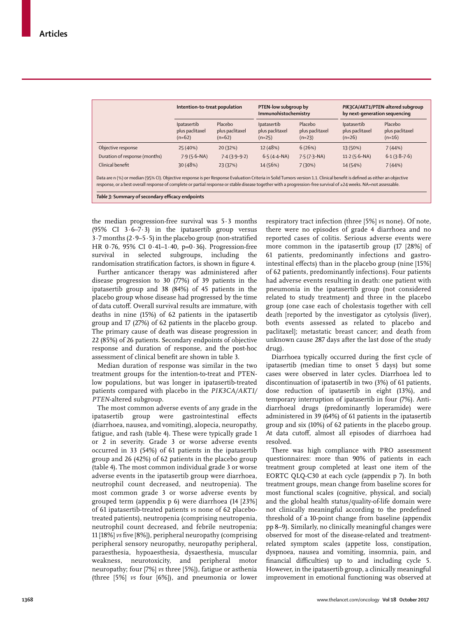|                               | Intention-to-treat population                     |                                        | PTEN-low subgroup by<br>Immunohistochemistry |                                        | PIK3CA/AKT1/PTEN-altered subgroup<br>by next-generation sequencing |                                        |
|-------------------------------|---------------------------------------------------|----------------------------------------|----------------------------------------------|----------------------------------------|--------------------------------------------------------------------|----------------------------------------|
|                               | <b>Ipatasertib</b><br>plus paclitaxel<br>$(n=62)$ | Placebo<br>plus paclitaxel<br>$(n=62)$ | Ipatasertib<br>plus paclitaxel<br>$(n=25)$   | Placebo<br>plus paclitaxel<br>$(n=23)$ | Ipatasertib<br>plus paclitaxel<br>$(n=26)$                         | Placebo<br>plus paclitaxel<br>$(n=16)$ |
| Objective response            | 25 (40%)                                          | 20 (32%)                               | 12 (48%)                                     | 6(26%)                                 | 13 (50%)                                                           | 7(44%)                                 |
| Duration of response (months) | $7.9(5.6-NA)$                                     | $7.4(3.9-9.2)$                         | $6.5(4.4-NA)$                                | $7.5(7.3-NA)$                          | $11.2 (5.6-NA)$                                                    | $6.1(3.8-7.6)$                         |
| Clinical benefit              | 30(48%)                                           | 23 (37%)                               | 14 (56%)                                     | 7(30%)                                 | 14 (54%)                                                           | 7(44%)                                 |

the median progression-free survival was 5·3 months (95% CI  $3.6-7.3$ ) in the ipatasertib group versus 3·7 months (2·9–5·5) in the placebo group (non-stratified HR 0·76, 95% CI 0·41–1·40, p=0·36). Progression-free survival in selected subgroups, including the randomisation stratification factors, is shown in figure 4.

Further anticancer therapy was administered after disease progression to 30 (77%) of 39 patients in the ipatasertib group and 38 (84%) of 45 patients in the placebo group whose disease had progressed by the time of data cutoff. Overall survival results are immature, with deaths in nine (15%) of 62 patients in the ipatasertib group and 17 (27%) of 62 patients in the placebo group. The primary cause of death was disease progression in 22 (85%) of 26 patients. Secondary endpoints of objective response and duration of response, and the post-hoc assessment of clinical benefit are shown in table 3.

Median duration of response was similar in the two treatment groups for the intention-to-treat and PTENlow populations, but was longer in ipatasertib-treated patients compared with placebo in the *PIK3CA/AKT1/ PTEN*-altered subgroup.

The most common adverse events of any grade in the ipatasertib group were gastrointestinal effects (diarrhoea, nausea, and vomiting), alopecia, neuropathy, fatigue, and rash (table 4). These were typically grade 1 or 2 in severity. Grade 3 or worse adverse events occurred in 33 (54%) of 61 patients in the ipatasertib group and 26 (42%) of 62 patients in the placebo group (table 4)**.** The most common individual grade 3 or worse adverse events in the ipatasertib group were diarrhoea, neutrophil count decreased, and neutropenia). The most common grade 3 or worse adverse events by grouped term (appendix p 6) were diarrhoea (14 [23%] of 61 ipatasertib-treated patients *vs* none of 62 placebotreated patients), neutropenia (comprising neutropenia, neutrophil count decreased, and febrile neutropenia; 11 [18%] *vs* five [8%]), peripheral neuropathy (comprising peripheral sensory neuropathy, neuropathy peripheral, paraesthesia, hypoaesthesia, dysaesthesia, muscular weakness, neurotoxicity, and peripheral motor neuropathy; four [7%] *vs* three [5%]), fatigue or asthenia (three [5%] *vs* four [6%]), and pneumonia or lower respiratory tract infection (three [5%] *vs* none). Of note, there were no episodes of grade 4 diarrhoea and no reported cases of colitis. Serious adverse events were more common in the ipatasertib group (17 [28%] of 61 patients, predominantly infections and gastrointestinal effects) than in the placebo group (nine [15%] of 62 patients, predominantly infections). Four patients had adverse events resulting in death: one patient with pneumonia in the ipatasertib group (not considered related to study treatment) and three in the placebo group (one case each of cholestasis together with cell death [reported by the investigator as cytolysis (liver), both events assessed as related to placebo and paclitaxel]; metastatic breast cancer; and death from unknown cause 287 days after the last dose of the study drug).

Diarrhoea typically occurred during the first cycle of ipatasertib (median time to onset 5 days) but some cases were observed in later cycles. Diarrhoea led to discontinuation of ipatasertib in two (3%) of 61 patients, dose reduction of ipatasertib in eight (13%), and temporary interruption of ipatasertib in four (7%). Antidiarrhoeal drugs (predominantly loperamide) were administered in 39 (64%) of 61 patients in the ipatasertib group and six (10%) of 62 patients in the placebo group. At data cutoff, almost all episodes of diarrhoea had resolved.

There was high compliance with PRO assessment questionnaires: more than 90% of patients in each treatment group completed at least one item of the EORTC QLQ-C30 at each cycle (appendix p 7). In both treatment groups, mean change from baseline scores for most functional scales (cognitive, physical, and social) and the global health status/quality-of-life domain were not clinically meaningful according to the predefined threshold of a 10-point change from baseline (appendix pp 8–9). Similarly, no clinically meaningful changes were observed for most of the disease-related and treatmentrelated symptom scales (appetite loss, constipation, dyspnoea, nausea and vomiting, insomnia, pain, and financial difficulties) up to and including cycle 5. However, in the ipatasertib group, a clinically meaningful improvement in emotional functioning was observed at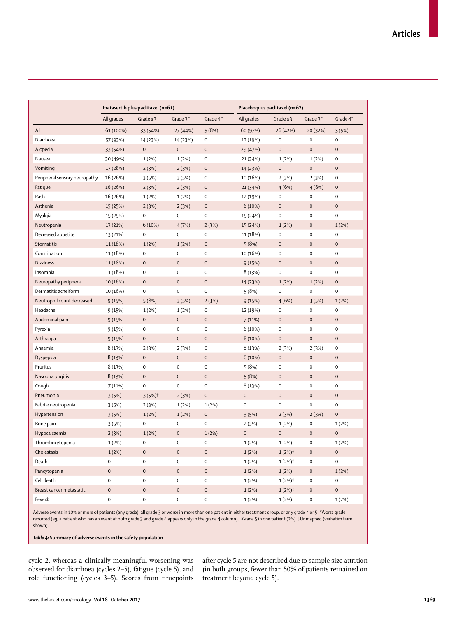| All<br>Diarrhoea<br>Alopecia<br>Nausea<br>Vomiting<br>Peripheral sensory neuropathy<br>Fatigue<br>Rash<br>Asthenia<br>Myalgia<br>Neutropenia<br>Decreased appetite | All grades<br>61 (100%)<br>57 (93%)<br>33 (54%)<br>30 (49%)<br>17 (28%)<br>16 (26%)<br>16 (26%)<br>16 (26%)<br>15 (25%)<br>15 (25%) | Grade $\geq$ 3<br>33 (54%)<br>14 (23%)<br>$\mathsf{O}\xspace$<br>1(2%)<br>2(3%)<br>3(5%)<br>2(3%)<br>1(2%) | Grade 3*<br>27 (44%)<br>14 (23%)<br>$\mathbf 0$<br>1(2%)<br>2(3%)<br>3(5%)<br>2(3%) | Grade 4*<br>5(8%)<br>0<br>$\pmb{0}$<br>0<br>0<br>0 | All grades<br>60 (97%)<br>12 (19%)<br>29 (47%)<br>21 (34%)<br>14 (23%) | Grade $\geq$ 3<br>26 (42%)<br>$\mathbf 0$<br>$\mathbf 0$<br>1(2%)<br>$\mathbf 0$ | Grade 3*<br>20 (32%)<br>$\mathbf 0$<br>$\mathbf 0$<br>1(2%) | Grade 4*<br>3(5%)<br>$\pmb{0}$<br>$\mathbf 0$<br>0 |
|--------------------------------------------------------------------------------------------------------------------------------------------------------------------|-------------------------------------------------------------------------------------------------------------------------------------|------------------------------------------------------------------------------------------------------------|-------------------------------------------------------------------------------------|----------------------------------------------------|------------------------------------------------------------------------|----------------------------------------------------------------------------------|-------------------------------------------------------------|----------------------------------------------------|
|                                                                                                                                                                    |                                                                                                                                     |                                                                                                            |                                                                                     |                                                    |                                                                        |                                                                                  |                                                             |                                                    |
|                                                                                                                                                                    |                                                                                                                                     |                                                                                                            |                                                                                     |                                                    |                                                                        |                                                                                  |                                                             |                                                    |
|                                                                                                                                                                    |                                                                                                                                     |                                                                                                            |                                                                                     |                                                    |                                                                        |                                                                                  |                                                             |                                                    |
|                                                                                                                                                                    |                                                                                                                                     |                                                                                                            |                                                                                     |                                                    |                                                                        |                                                                                  |                                                             |                                                    |
|                                                                                                                                                                    |                                                                                                                                     |                                                                                                            |                                                                                     |                                                    |                                                                        |                                                                                  |                                                             |                                                    |
|                                                                                                                                                                    |                                                                                                                                     |                                                                                                            |                                                                                     |                                                    |                                                                        |                                                                                  | $\mathbf 0$                                                 | $\pmb{0}$                                          |
|                                                                                                                                                                    |                                                                                                                                     |                                                                                                            |                                                                                     |                                                    | 10 (16%)                                                               | 2(3%)                                                                            | 2(3%)                                                       | 0                                                  |
|                                                                                                                                                                    |                                                                                                                                     |                                                                                                            |                                                                                     | $\mathbf 0$                                        | 21 (34%)                                                               | 4(6%)                                                                            | 4(6%)                                                       | $\mathbf 0$                                        |
|                                                                                                                                                                    |                                                                                                                                     |                                                                                                            | 1(2%)                                                                               | 0                                                  | 12 (19%)                                                               | 0                                                                                | $\mathbf 0$                                                 | 0                                                  |
|                                                                                                                                                                    |                                                                                                                                     | 2(3%)                                                                                                      | 2(3%)                                                                               | $\mathbf 0$                                        | 6(10%)                                                                 | $\mathbf 0$                                                                      | $\mathbf 0$                                                 | $\pmb{0}$                                          |
|                                                                                                                                                                    |                                                                                                                                     | 0                                                                                                          | 0                                                                                   | 0                                                  | 15 (24%)                                                               | $\mathbf 0$                                                                      | $\mathbf 0$                                                 | $\pmb{0}$                                          |
|                                                                                                                                                                    | 13 (21%)                                                                                                                            | 6(10%)                                                                                                     | 4(7%)                                                                               | 2(3%)                                              | 15 (24%)                                                               | 1(2%)                                                                            | $\mathbf 0$                                                 | 1(2%)                                              |
|                                                                                                                                                                    | 13 (21%)                                                                                                                            | 0                                                                                                          | 0                                                                                   | 0                                                  | 11 (18%)                                                               | $\mathbf 0$                                                                      | $\mathbf 0$                                                 | $\pmb{0}$                                          |
| Stomatitis                                                                                                                                                         | 11 (18%)                                                                                                                            | 1(2%)                                                                                                      | 1(2%)                                                                               | $\pmb{0}$                                          | 5(8%)                                                                  | $\mathbf 0$                                                                      | $\mathbf 0$                                                 | $\pmb{0}$                                          |
| Constipation                                                                                                                                                       | 11 (18%)                                                                                                                            | $\mathbf 0$                                                                                                | 0                                                                                   | 0                                                  | 10 (16%)                                                               | $\mathbf 0$                                                                      | $\mathbf 0$                                                 | $\pmb{0}$                                          |
| <b>Dizziness</b>                                                                                                                                                   | 11 (18%)                                                                                                                            | $\mathbf 0$                                                                                                | $\mathbf 0$                                                                         | $\pmb{0}$                                          | 9(15%)                                                                 | $\mathbf 0$                                                                      | $\pmb{0}$                                                   | $\pmb{0}$                                          |
| Insomnia                                                                                                                                                           | 11 (18%)                                                                                                                            | $\mathbf 0$                                                                                                | 0                                                                                   | 0                                                  | 8(13%)                                                                 | $\mathbf 0$                                                                      | $\mathbf 0$                                                 | $\pmb{0}$                                          |
| Neuropathy peripheral                                                                                                                                              | 10 (16%)                                                                                                                            | $\mathbf 0$                                                                                                | $\mathbf 0$                                                                         | $\mathbf 0$                                        | 14 (23%)                                                               | 1(2%)                                                                            | 1(2%)                                                       | $\pmb{0}$                                          |
| Dermatitis acneiform                                                                                                                                               | 10 (16%)                                                                                                                            | $\mathbf 0$                                                                                                | 0                                                                                   | 0                                                  | 5(8%)                                                                  | $\mathbf 0$                                                                      | 0                                                           | $\mathbf 0$                                        |
| Neutrophil count decreased                                                                                                                                         | 9(15%)                                                                                                                              | 5(8%)                                                                                                      | 3(5%)                                                                               | 2(3%)                                              | 9(15%)                                                                 | 4(6%)                                                                            | 3(5%)                                                       | 1(2%)                                              |
| Headache                                                                                                                                                           | 9(15%)                                                                                                                              | 1(2%)                                                                                                      | 1(2%)                                                                               | 0                                                  | 12 (19%)                                                               | $\mathbf 0$                                                                      | $\pmb{0}$                                                   | 0                                                  |
| Abdominal pain                                                                                                                                                     | 9(15%)                                                                                                                              | $\mathbf 0$                                                                                                | $\mathbf 0$                                                                         | $\mathbf 0$                                        | 7(11%)                                                                 | $\mathbf 0$                                                                      | $\mathbf 0$                                                 | $\mathbf 0$                                        |
| Pyrexia                                                                                                                                                            | 9(15%)                                                                                                                              | $\mathbf 0$                                                                                                | 0                                                                                   | 0                                                  | 6(10%)                                                                 | 0                                                                                | $\pmb{0}$                                                   | 0                                                  |
| Arthralgia                                                                                                                                                         | 9(15%)                                                                                                                              | $\mathbf 0$                                                                                                | $\mathbf 0$                                                                         | $\pmb{0}$                                          | 6(10%)                                                                 | $\mathbf 0$                                                                      | $\mathbf 0$                                                 | $\pmb{0}$                                          |
| Anaemia                                                                                                                                                            | 8(13%)                                                                                                                              | 2(3%)                                                                                                      | 2(3%)                                                                               | 0                                                  | 8 (13%)                                                                | 2(3%)                                                                            | 2(3%)                                                       | 0                                                  |
| Dyspepsia                                                                                                                                                          | 8(13%)                                                                                                                              | $\mathbf 0$                                                                                                | $\mathbf 0$                                                                         | $\mathbf 0$                                        | 6(10%)                                                                 | $\mathbf 0$                                                                      | $\pmb{0}$                                                   | $\pmb{0}$                                          |
| Pruritus                                                                                                                                                           | 8(13%)                                                                                                                              | $\mathsf{O}\xspace$                                                                                        | 0                                                                                   | 0                                                  | 5(8%)                                                                  | $\mathbf 0$                                                                      | $\mathbf 0$                                                 | $\pmb{0}$                                          |
| Nasopharyngitis                                                                                                                                                    | 8(13%)                                                                                                                              | $\pmb{0}$                                                                                                  | $\mathbf 0$                                                                         | $\mathbf 0$                                        | 5(8%)                                                                  | $\mathbf 0$                                                                      | $\mathbf 0$                                                 | $\pmb{0}$                                          |
| Cough                                                                                                                                                              | 7(11%)                                                                                                                              | $\mathbf 0$                                                                                                | 0                                                                                   | 0                                                  | 8(13%)                                                                 | $\mathbf 0$                                                                      | $\mathbf 0$                                                 | 0                                                  |
| Pneumonia                                                                                                                                                          | 3(5%)                                                                                                                               | $3(5%)$ †                                                                                                  | 2(3%)                                                                               | $\pmb{0}$                                          | 0                                                                      | $\mathbf 0$                                                                      | $\mathbf 0$                                                 | $\pmb{0}$                                          |
| Febrile neutropenia                                                                                                                                                | 3(5%)                                                                                                                               | 2(3%)                                                                                                      | 1(2%)                                                                               | 1(2%)                                              | 0                                                                      | $\mathbf 0$                                                                      | $\mathbf 0$                                                 | $\pmb{0}$                                          |
| Hypertension                                                                                                                                                       | 3(5%)                                                                                                                               | 1(2%)                                                                                                      | 1(2%)                                                                               | $\pmb{0}$                                          | 3(5%)                                                                  | 2(3%)                                                                            | 2(3%)                                                       | $\pmb{0}$                                          |
| Bone pain                                                                                                                                                          | 3(5%)                                                                                                                               | $\mathbf 0$                                                                                                | 0                                                                                   | 0                                                  | 2(3%)                                                                  | 1(2%)                                                                            | $\pmb{0}$                                                   | 1(2%)                                              |
| Hypocalcaemia                                                                                                                                                      | 2(3%)                                                                                                                               | 1(2%)                                                                                                      | $\mathbf 0$                                                                         | 1(2%)                                              | $\mathbf 0$                                                            | $\mathbf 0$                                                                      | $\mathbf 0$                                                 | $\pmb{0}$                                          |
| Thrombocytopenia                                                                                                                                                   | 1(2%)                                                                                                                               | 0                                                                                                          | 0                                                                                   | 0                                                  | 1(2%)                                                                  | 1(2%)                                                                            | 0                                                           | 1(2%)                                              |
| Cholestasis                                                                                                                                                        | 1(2%)                                                                                                                               | $\mathsf{O}\xspace$                                                                                        | $\mathbf 0$                                                                         | $\mathbf 0$                                        | 1(2%)                                                                  | $1(2%)$ †                                                                        | $\pmb{0}$                                                   | $\pmb{0}$                                          |
| Death                                                                                                                                                              | $\mathsf 0$                                                                                                                         | $\mathsf 0$                                                                                                | 0                                                                                   | 0                                                  | 1(2%)                                                                  | $1(2%)$ †                                                                        | $\pmb{0}$                                                   | 0                                                  |
| Pancytopenia                                                                                                                                                       | $\pmb{0}$                                                                                                                           | $\mathsf{O}\xspace$                                                                                        | $\mathbf 0$                                                                         | $\boldsymbol{0}$                                   | 1(2%)                                                                  | 1(2%)                                                                            | $\mathbf 0$                                                 | 1(2%)                                              |
| Cell death                                                                                                                                                         | $\mathsf 0$                                                                                                                         | $\mathsf{O}\xspace$                                                                                        | 0                                                                                   | 0                                                  | 1(2%)                                                                  | $1(2%)$ <sup>†</sup>                                                             | $\mathsf{O}\xspace$                                         | $\mathbf 0$                                        |
| Breast cancer metastatic                                                                                                                                           | $\mathsf{O}\xspace$                                                                                                                 | $\mathsf{O}\xspace$                                                                                        | $\mathbf 0$                                                                         | $\mathbf 0$                                        | 1(2%)                                                                  | $1(2%)$ †                                                                        | $\mathbf 0$                                                 | $\mathbf 0$                                        |
| Fever‡                                                                                                                                                             | 0                                                                                                                                   | $\mathsf{O}\xspace$                                                                                        | $\mathsf 0$                                                                         | 0                                                  | 1(2%)                                                                  | 1(2%)                                                                            | $\pmb{0}$                                                   | 1(2%)                                              |

Adverse events in 10% or more of patients (any grade), all grade 3 or worse in more than one patient in either treatment group, or any grade 4 or 5. \*Worst grade reported (eg, a patient who has an event at both grade 3 and grade 4 appears only in the grade 4 column). †Grade 5 in one patient (2%). ‡Unmapped (verbatim term shown).

*Table 4:* **Summary of adverse events in the safety population**

cycle 2, whereas a clinically meaningful worsening was observed for diarrhoea (cycles 2–5), fatigue (cycle 5), and role functioning (cycles 3–5). Scores from timepoints

after cycle 5 are not described due to sample size attrition (in both groups, fewer than 50% of patients remained on treatment beyond cycle 5).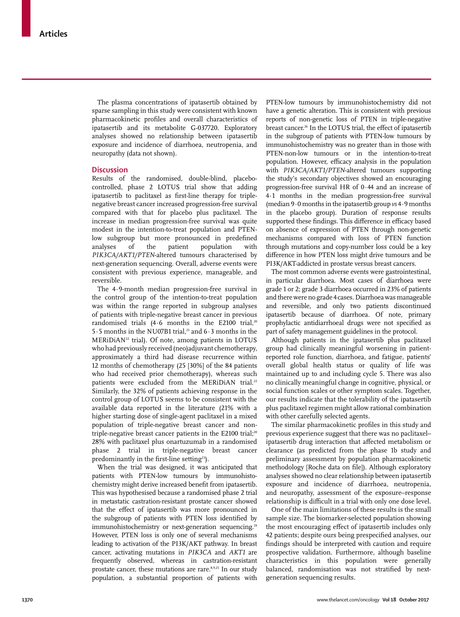The plasma concentrations of ipatasertib obtained by sparse sampling in this study were consistent with known pharmacokinetic profiles and overall characteristics of ipatasertib and its metabolite G-037720. Exploratory analyses showed no relationship between ipatasertib exposure and incidence of diarrhoea, neutropenia, and neuropathy (data not shown).

# **Discussion**

Results of the randomised, double-blind, placebocontrolled, phase 2 LOTUS trial show that adding ipatasertib to paclitaxel as first-line therapy for triplenegative breast cancer increased progression-free survival compared with that for placebo plus paclitaxel. The increase in median progression-free survival was quite modest in the intention-to-treat population and PTENlow subgroup but more pronounced in predefined analyses of the patient population with *PIK3CA/AKT1/PTEN*-altered tumours characterised by next-generation sequencing. Overall, adverse events were consistent with previous experience, manageable, and reversible.

The 4·9-month median progression-free survival in the control group of the intention-to-treat population was within the range reported in subgroup analyses of patients with triple-negative breast cancer in previous randomised trials  $(4.6 \text{ months in the E2100 trial.}^{20})$ 5 $\cdot$ 5 months in the NU07B1 trial.<sup>21</sup> and 6 $\cdot$ 3 months in the  $MERiDiAN<sup>22</sup>$  trial). Of note, among patients in LOTUS who had previously received (neo)adjuvant chemotherapy, approximately a third had disease recurrence within 12 months of chemotherapy (25 [30%] of the 84 patients who had received prior chemotherapy), whereas such patients were excluded from the MERiDiAN trial.<sup>22</sup> Similarly, the 32% of patients achieving response in the control group of LOTUS seems to be consistent with the available data reported in the literature (21% with a higher starting dose of single-agent paclitaxel in a mixed population of triple-negative breast cancer and nontriple-negative breast cancer patients in the E2100 trial;<sup>20</sup> 28% with paclitaxel plus onartuzumab in a randomised phase 2 trial in triple-negative breast cancer predominantly in the first-line setting<sup>23</sup>).

When the trial was designed, it was anticipated that patients with PTEN-low tumours by immunohistochemistry might derive increased benefit from ipatasertib. This was hypothesised because a randomised phase 2 trial in metastatic castration-resistant prostate cancer showed that the effect of ipatasertib was more pronounced in the subgroup of patients with PTEN loss identified by immunohistochemistry or next-generation sequencing.<sup>24</sup> However, PTEN loss is only one of several mechanisms leading to activation of the PI3K/AKT pathway. In breast cancer, activating mutations in *PIK3CA* and *AKT1* are frequently observed, whereas in castration-resistant prostate cancer, these mutations are rare.<sup>8,9,25</sup> In our study population, a substantial proportion of patients with

PTEN-low tumours by immunohistochemistry did not have a genetic alteration. This is consistent with previous reports of non-genetic loss of PTEN in triple-negative breast cancer.<sup>26</sup> In the LOTUS trial, the effect of ipatasertib in the subgroup of patients with PTEN-low tumours by immunohistochemistry was no greater than in those with PTEN-non-low tumours or in the intention-to-treat population. However, efficacy analysis in the population with *PIK3CA/AKT1/PTEN*-altered tumours supporting the study's secondary objectives showed an encouraging progression-free survival HR of 0·44 and an increase of 4·1 months in the median progression-free survival (median 9·0 months in the ipatasertib group *vs* 4·9 months in the placebo group). Duration of response results supported these findings. This difference in efficacy based on absence of expression of PTEN through non-genetic mechanisms compared with loss of PTEN function through mutations and copy-number loss could be a key difference in how PTEN loss might drive tumours and be PI3K/AKT-addicted in prostate versus breast cancers.

The most common adverse events were gastrointestinal, in particular diarrhoea. Most cases of diarrhoea were grade 1 or 2; grade 3 diarrhoea occurred in 23% of patients and there were no grade 4 cases. Diarrhoea was manageable and reversible, and only two patients discontinued ipatasertib because of diarrhoea. Of note, primary prophylactic antidiarrhoeal drugs were not specified as part of safety management guidelines in the protocol.

Although patients in the ipatasertib plus paclitaxel group had clinically meaningful worsening in patientreported role function, diarrhoea, and fatigue, patients' overall global health status or quality of life was maintained up to and including cycle 5. There was also no clinically meaningful change in cognitive, physical, or social function scales or other symptom scales. Together, our results indicate that the tolerability of the ipatasertib plus paclitaxel regimen might allow rational combination with other carefully selected agents.

The similar pharmacokinetic profiles in this study and previous experience suggest that there was no paclitaxel– ipatasertib drug interaction that affected metabolism or clearance (as predicted from the phase 1b study and preliminary assessment by population pharmacokinetic methodology [Roche data on file]). Although exploratory analyses showed no clear relationship between ipatasertib exposure and incidence of diarrhoea, neutropenia, and neuropathy, assessment of the exposure–response relationship is difficult in a trial with only one dose level.

One of the main limitations of these results is the small sample size. The biomarker-selected population showing the most encouraging effect of ipatasertib includes only 42 patients; despite ours being prespecified analyses, our findings should be interpreted with caution and require prospective validation. Furthermore, although baseline characteristics in this population were generally balanced, randomisation was not stratified by nextgeneration sequencing results.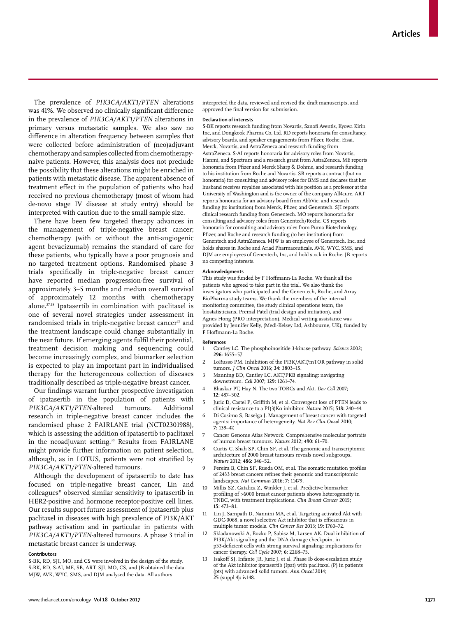The prevalence of *PIK3CA/AKT1/PTEN* alterations was 41%. We observed no clinically significant difference in the prevalence of *PIK3CA/AKT1/PTEN* alterations in primary versus metastatic samples. We also saw no difference in alteration frequency between samples that were collected before administration of (neo)adjuvant chemotherapy and samples collected from chemotherapynaive patients. However, this analysis does not preclude the possibility that these alterations might be enriched in patients with metastatic disease. The apparent absence of treatment effect in the population of patients who had received no previous chemotherapy (most of whom had de-novo stage IV disease at study entry) should be interpreted with caution due to the small sample size.

There have been few targeted therapy advances in the management of triple-negative breast cancer; chemotherapy (with or without the anti-angiogenic agent bevacizumab) remains the standard of care for these patients, who typically have a poor prognosis and no targeted treatment options. Randomised phase 3 trials specifically in triple-negative breast cancer have reported median progression-free survival of approximately 3–5 months and median overall survival of approximately 12 months with chemotherapy alone.27,28 Ipatasertib in combination with paclitaxel is one of several novel strategies under assessment in randomised trials in triple-negative breast cancer<sup>29</sup> and the treatment landscape could change substantially in the near future. If emerging agents fulfil their potential, treatment decision making and sequencing could become increasingly complex, and biomarker selection is expected to play an important part in individualised therapy for the heterogeneous collection of diseases traditionally described as triple-negative breast cancer.

Our findings warrant further prospective investigation of ipatasertib in the population of patients with PIK3CA/AKT1/PTEN-altered tumours. Additional *PIK3CA/AKT1/PTEN*-altered tumours. Additional research in triple-negative breast cancer includes the randomised phase 2 FAIRLANE trial (NCT02301988), which is assessing the addition of ipatasertib to paclitaxel in the neoadjuvant setting.<sup>30</sup> Results from FAIRLANE might provide further information on patient selection, although, as in LOTUS, patients were not stratified by *PIK3CA/AKT1/PTEN*-altered tumours.

Although the development of ipatasertib to date has focused on triple-negative breast cancer, Lin and colleagues<sup>11</sup> observed similar sensitivity to ipatasertib in HER2-positive and hormone receptor-positive cell lines. Our results support future assessment of ipatasertib plus paclitaxel in diseases with high prevalence of PI3K/AKT pathway activation and in particular in patients with *PIK3CA/AKT1/PTEN-*altered tumours. A phase 3 trial in metastatic breast cancer is underway.

#### **Contributors**

S-BK, RD, SJI, MO, and CS were involved in the design of the study. S-BK, RD, S-AI, ME, SB, ART, SJI, MO, CS, and JB obtained the data. MJW, AVK, WYC, SMS, and DJM analysed the data. All authors

interpreted the data, reviewed and revised the draft manuscripts, and approved the final version for submission.

#### **Declaration of interests**

S-BK reports research funding from Novartis, Sanofi Aventis, Kyowa Kirin Inc, and Dongkook Pharma Co, Ltd. RD reports honoraria for consultancy, advisory boards, and speaker engagements from Pfizer, Roche, Eisai, Merck, Novartis, and AstraZeneca and research funding from AstraZeneca. S-AI reports honoraria for advisory roles from Novartis, Hanmi, and Spectrum and a research grant from AstraZeneca. ME reports honoraria from Pfizer and Merck Sharp & Dohme, and research funding to his institution from Roche and Novartis. SB reports a contract (but no honoraria) for consulting and advisory roles for BMS and declares that her husband receives royalties associated with his position as a professor at the University of Washington and is the owner of the company All4cure. ART reports honoraria for an advisory board from AbbVie, and research funding (to institution) from Merck, Pfizer, and Genentech. SJI reports clinical research funding from Genentech. MO reports honoraria for consulting and advisory roles from Genentech/Roche. CS reports honoraria for consulting and advisory roles from Puma Biotechnology, Pfizer, and Roche and research funding (to her institution) from Genentech and AstraZeneca. MJW is an employee of Genentech, Inc, and holds shares in Roche and Ariad Pharmaceuticals. AVK, WYC, SMS, and DJM are employees of Genentech, Inc, and hold stock in Roche. JB reports no competing interests.

#### **Acknowledgments**

This study was funded by F Hoffmann-La Roche. We thank all the patients who agreed to take part in the trial. We also thank the investigators who participated and the Genentech, Roche, and Array BioPharma study teams. We thank the members of the internal monitoring committee, the study clinical operations team, the biostatisticians, Premal Patel (trial design and initiation), and Agnes Hong (PRO interpretation). Medical writing assistance was provided by Jennifer Kelly, (Medi-Kelsey Ltd, Ashbourne, UK), funded by F Hoffmann-La Roche.

#### **References**

- 1 Cantley LC. The phosphoinositide 3-kinase pathway. *Science* 2002; **296:** 1655–57.
- 2 LoRusso PM. Inhibition of the PI3K/AKT/mTOR pathway in solid tumors. *J Clin Oncol* 2016; **34:** 3803–15.
- 3 Manning BD, Cantley LC. AKT/PKB signaling: navigating downstream. *Cell* 2007; **129:** 1261–74.
- 4 Bhaskar PT, Hay N. The two TORCs and Akt. *Dev Cell* 2007; **12:** 487–502.
- 5 Juric D, Castel P, Griffith M, et al. Convergent loss of PTEN leads to clinical resistance to a PI(3)Kα inhibitor. *Nature* 2015; **518:** 240–44.
- 6 Di Cosimo S, Baselga J. Management of breast cancer with targeted agents: importance of heterogeneity. *Nat Rev Clin Onco*l 2010; **7:** 139–47.
- 7 Cancer Genome Atlas Network. Comprehensive molecular portraits of human breast tumours. *Nature* 2012; **490:** 61–70.
- 8 Curtis C, Shah SP, Chin SF, et al. The genomic and transcriptomic architecture of 2000 breast tumours reveals novel subgroups. *Nature* 2012; **486:** 346–52.
- 9 Pereira B, Chin SF, Rueda OM, et al. The somatic mutation profiles of 2433 breast cancers refines their genomic and transcriptomic landscapes. *Nat Commun* 2016; **7:** 11479.
- Millis SZ, Gatalica Z, Winkler J, et al. Predictive biomarker profiling of >6000 breast cancer patients shows heterogeneity in TNBC, with treatment implications. *Clin Breast Cancer* 2015; **15:** 473–81.
- 11 Lin J, Sampath D, Nannini MA, et al. Targeting activated Akt with GDC-0068, a novel selective Akt inhibitor that is efficacious in multiple tumor models. *Clin Cancer Res* 2013; **19:** 1760–72.
- 12 Skladanowski A, Bozko P, Sabisz M, Larsen AK. Dual inhibition of PI3K/Akt signaling and the DNA damage checkpoint in p53-deficient cells with strong survival signaling: implications for cancer therapy. *Cell Cycle* 2007; **6:** 2268–75.
- 13 Isakoff SJ, Infante JR, Juric J, et al. Phase Ib dose-escalation study of the Akt inhibitor ipatasertib (Ipat) with paclitaxel (P) in patients (pts) with advanced solid tumors. *Ann Oncol* 2014; **25** (suppl 4)**:** iv148.